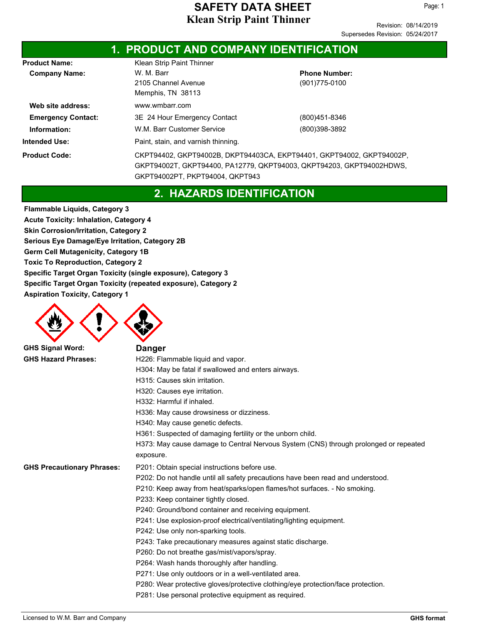Page: 1

|                           |                                                                       | <b>1. PRODUCT AND COMPANY IDENTIFICATION</b> |  |  |  |
|---------------------------|-----------------------------------------------------------------------|----------------------------------------------|--|--|--|
| <b>Product Name:</b>      | Klean Strip Paint Thinner                                             |                                              |  |  |  |
| <b>Company Name:</b>      | W. M. Barr                                                            | <b>Phone Number:</b>                         |  |  |  |
|                           | 2105 Channel Avenue                                                   | (901)775-0100                                |  |  |  |
|                           | Memphis, TN 38113                                                     |                                              |  |  |  |
| Web site address:         | www.wmbarr.com                                                        |                                              |  |  |  |
| <b>Emergency Contact:</b> | 3E 24 Hour Emergency Contact                                          | (800)451-8346                                |  |  |  |
| Information:              | W.M. Barr Customer Service                                            | (800)398-3892                                |  |  |  |
| <b>Intended Use:</b>      | Paint, stain, and varnish thinning.                                   |                                              |  |  |  |
| <b>Product Code:</b>      | CKPT94402, GKPT94002B, DKPT94403CA, EKPT94401, GKPT94002, GKPT94002P, |                                              |  |  |  |
|                           | GKPT94002T, GKPT94400, PA12779, QKPT94003, QKPT94203, GKPT94002HDWS,  |                                              |  |  |  |
|                           | GKPT94002PT, PKPT94004, QKPT943                                       |                                              |  |  |  |

## **2. HAZARDS IDENTIFICATION**

**Flammable Liquids, Category 3 Acute Toxicity: Inhalation, Category 4 Skin Corrosion/Irritation, Category 2 Serious Eye Damage/Eye Irritation, Category 2B Germ Cell Mutagenicity, Category 1B Toxic To Reproduction, Category 2 Specific Target Organ Toxicity (single exposure), Category 3 Specific Target Organ Toxicity (repeated exposure), Category 2 Aspiration Toxicity, Category 1**



GH **GHS Signal Word:** 

| 9.                                | ранусі                                                                               |
|-----------------------------------|--------------------------------------------------------------------------------------|
| <b>GHS Hazard Phrases:</b>        | H226: Flammable liquid and vapor.                                                    |
|                                   | H304: May be fatal if swallowed and enters airways.                                  |
|                                   | H315: Causes skin irritation.                                                        |
|                                   | H320: Causes eye irritation.                                                         |
|                                   | H332: Harmful if inhaled.                                                            |
|                                   | H336: May cause drowsiness or dizziness.                                             |
|                                   | H340: May cause genetic defects.                                                     |
|                                   | H361: Suspected of damaging fertility or the unborn child.                           |
|                                   | H373: May cause damage to Central Nervous System (CNS) through prolonged or repeated |
|                                   | exposure.                                                                            |
| <b>GHS Precautionary Phrases:</b> | P201: Obtain special instructions before use.                                        |
|                                   | P202: Do not handle until all safety precautions have been read and understood.      |
|                                   | P210: Keep away from heat/sparks/open flames/hot surfaces. - No smoking.             |
|                                   | P233: Keep container tightly closed.                                                 |
|                                   | P240: Ground/bond container and receiving equipment.                                 |
|                                   | P241: Use explosion-proof electrical/ventilating/lighting equipment.                 |
|                                   | P242: Use only non-sparking tools.                                                   |
|                                   | P243: Take precautionary measures against static discharge.                          |
|                                   | P260: Do not breathe gas/mist/vapors/spray.                                          |
|                                   | P264: Wash hands thoroughly after handling.                                          |
|                                   | P271: Use only outdoors or in a well-ventilated area.                                |
|                                   | P280: Wear protective gloves/protective clothing/eye protection/face protection.     |
|                                   | P281: Use personal protective equipment as required.                                 |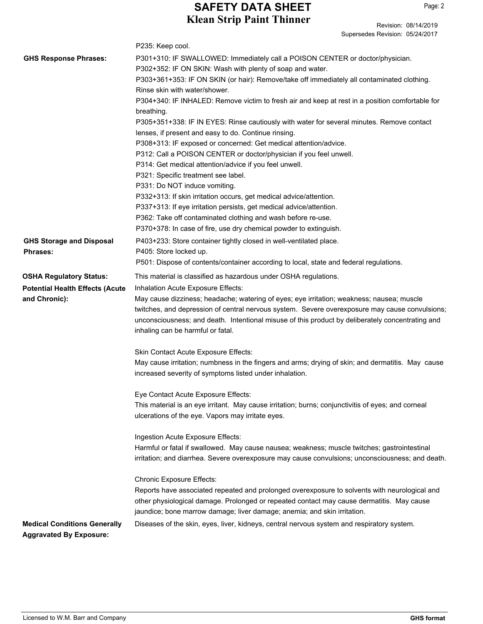Revision: 08/14/2019

|                                        | Supersedes Revision: 05/24/2017                                                                                                                                                                                                                                                                                                      |  |  |  |
|----------------------------------------|--------------------------------------------------------------------------------------------------------------------------------------------------------------------------------------------------------------------------------------------------------------------------------------------------------------------------------------|--|--|--|
|                                        | P235: Keep cool.                                                                                                                                                                                                                                                                                                                     |  |  |  |
| <b>GHS Response Phrases:</b>           | P301+310: IF SWALLOWED: Immediately call a POISON CENTER or doctor/physician.                                                                                                                                                                                                                                                        |  |  |  |
|                                        | P302+352: IF ON SKIN: Wash with plenty of soap and water.                                                                                                                                                                                                                                                                            |  |  |  |
|                                        | P303+361+353: IF ON SKIN (or hair): Remove/take off immediately all contaminated clothing.                                                                                                                                                                                                                                           |  |  |  |
|                                        | Rinse skin with water/shower.                                                                                                                                                                                                                                                                                                        |  |  |  |
|                                        | P304+340: IF INHALED: Remove victim to fresh air and keep at rest in a position comfortable for<br>breathing.                                                                                                                                                                                                                        |  |  |  |
|                                        | P305+351+338: IF IN EYES: Rinse cautiously with water for several minutes. Remove contact                                                                                                                                                                                                                                            |  |  |  |
|                                        | lenses, if present and easy to do. Continue rinsing.                                                                                                                                                                                                                                                                                 |  |  |  |
|                                        | P308+313: IF exposed or concerned: Get medical attention/advice.                                                                                                                                                                                                                                                                     |  |  |  |
|                                        | P312: Call a POISON CENTER or doctor/physician if you feel unwell.                                                                                                                                                                                                                                                                   |  |  |  |
|                                        | P314: Get medical attention/advice if you feel unwell.                                                                                                                                                                                                                                                                               |  |  |  |
|                                        | P321: Specific treatment see label.                                                                                                                                                                                                                                                                                                  |  |  |  |
|                                        | P331: Do NOT induce vomiting.                                                                                                                                                                                                                                                                                                        |  |  |  |
|                                        | P332+313: If skin irritation occurs, get medical advice/attention.                                                                                                                                                                                                                                                                   |  |  |  |
|                                        | P337+313: If eye irritation persists, get medical advice/attention.                                                                                                                                                                                                                                                                  |  |  |  |
|                                        | P362: Take off contaminated clothing and wash before re-use.                                                                                                                                                                                                                                                                         |  |  |  |
|                                        | P370+378: In case of fire, use dry chemical powder to extinguish.                                                                                                                                                                                                                                                                    |  |  |  |
| <b>GHS Storage and Disposal</b>        | P403+233: Store container tightly closed in well-ventilated place.                                                                                                                                                                                                                                                                   |  |  |  |
| <b>Phrases:</b>                        | P405: Store locked up.                                                                                                                                                                                                                                                                                                               |  |  |  |
|                                        | P501: Dispose of contents/container according to local, state and federal regulations.                                                                                                                                                                                                                                               |  |  |  |
| <b>OSHA Regulatory Status:</b>         | This material is classified as hazardous under OSHA regulations.                                                                                                                                                                                                                                                                     |  |  |  |
| <b>Potential Health Effects (Acute</b> | Inhalation Acute Exposure Effects:                                                                                                                                                                                                                                                                                                   |  |  |  |
| and Chronic):                          | May cause dizziness; headache; watering of eyes; eye irritation; weakness; nausea; muscle<br>twitches, and depression of central nervous system. Severe overexposure may cause convulsions;<br>unconsciousness; and death. Intentional misuse of this product by deliberately concentrating and<br>inhaling can be harmful or fatal. |  |  |  |
|                                        |                                                                                                                                                                                                                                                                                                                                      |  |  |  |
|                                        | Skin Contact Acute Exposure Effects:<br>May cause irritation; numbness in the fingers and arms; drying of skin; and dermatitis. May cause                                                                                                                                                                                            |  |  |  |
|                                        | increased severity of symptoms listed under inhalation.                                                                                                                                                                                                                                                                              |  |  |  |
|                                        | Eye Contact Acute Exposure Effects:                                                                                                                                                                                                                                                                                                  |  |  |  |
|                                        | This material is an eye irritant. May cause irritation; burns; conjunctivitis of eyes; and corneal                                                                                                                                                                                                                                   |  |  |  |
|                                        | ulcerations of the eye. Vapors may irritate eyes.                                                                                                                                                                                                                                                                                    |  |  |  |
|                                        | Ingestion Acute Exposure Effects:                                                                                                                                                                                                                                                                                                    |  |  |  |
|                                        | Harmful or fatal if swallowed. May cause nausea; weakness; muscle twitches; gastrointestinal                                                                                                                                                                                                                                         |  |  |  |
|                                        | irritation; and diarrhea. Severe overexposure may cause convulsions; unconsciousness; and death.                                                                                                                                                                                                                                     |  |  |  |
|                                        | <b>Chronic Exposure Effects:</b>                                                                                                                                                                                                                                                                                                     |  |  |  |
|                                        | Reports have associated repeated and prolonged overexposure to solvents with neurological and<br>other physiological damage. Prolonged or repeated contact may cause dermatitis. May cause<br>jaundice; bone marrow damage; liver damage; anemia; and skin irritation.                                                               |  |  |  |
| <b>Medical Conditions Generally</b>    | Diseases of the skin, eyes, liver, kidneys, central nervous system and respiratory system.                                                                                                                                                                                                                                           |  |  |  |
| <b>Aggravated By Exposure:</b>         |                                                                                                                                                                                                                                                                                                                                      |  |  |  |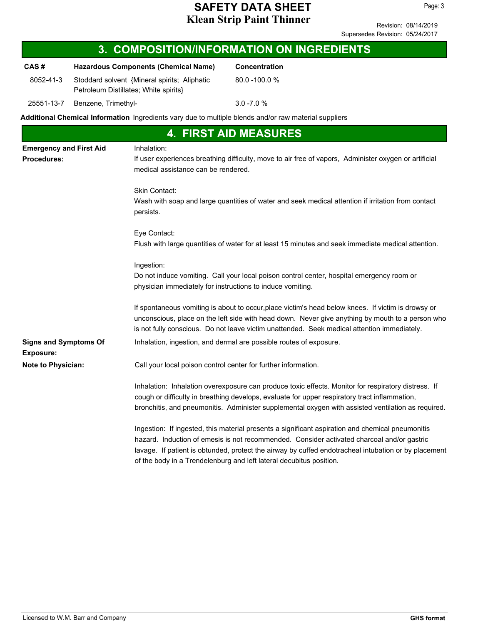| <b>3. COMPOSITION/INFORMATION ON INGREDIENTS</b>     |                                                                                       |                                                                                                                                                             |                                                                                                                                                                                                                                                                                                                                                                               |  |  |
|------------------------------------------------------|---------------------------------------------------------------------------------------|-------------------------------------------------------------------------------------------------------------------------------------------------------------|-------------------------------------------------------------------------------------------------------------------------------------------------------------------------------------------------------------------------------------------------------------------------------------------------------------------------------------------------------------------------------|--|--|
| CAS#                                                 |                                                                                       | <b>Hazardous Components (Chemical Name)</b>                                                                                                                 | Concentration                                                                                                                                                                                                                                                                                                                                                                 |  |  |
| 8052-41-3                                            | Stoddard solvent {Mineral spirits; Aliphatic<br>Petroleum Distillates; White spirits} |                                                                                                                                                             | 80.0 -100.0 %                                                                                                                                                                                                                                                                                                                                                                 |  |  |
| 25551-13-7                                           | Benzene, Trimethyl-                                                                   |                                                                                                                                                             | $3.0 - 7.0 %$                                                                                                                                                                                                                                                                                                                                                                 |  |  |
|                                                      |                                                                                       |                                                                                                                                                             | Additional Chemical Information Ingredients vary due to multiple blends and/or raw material suppliers                                                                                                                                                                                                                                                                         |  |  |
|                                                      |                                                                                       |                                                                                                                                                             | <b>4. FIRST AID MEASURES</b>                                                                                                                                                                                                                                                                                                                                                  |  |  |
| <b>Emergency and First Aid</b><br><b>Procedures:</b> |                                                                                       | Inhalation:<br>If user experiences breathing difficulty, move to air free of vapors, Administer oxygen or artificial<br>medical assistance can be rendered. |                                                                                                                                                                                                                                                                                                                                                                               |  |  |
|                                                      |                                                                                       | Skin Contact:<br>persists.                                                                                                                                  | Wash with soap and large quantities of water and seek medical attention if irritation from contact                                                                                                                                                                                                                                                                            |  |  |
|                                                      |                                                                                       | Eye Contact:                                                                                                                                                | Flush with large quantities of water for at least 15 minutes and seek immediate medical attention.                                                                                                                                                                                                                                                                            |  |  |
|                                                      |                                                                                       | Ingestion:<br>physician immediately for instructions to induce vomiting.                                                                                    | Do not induce vomiting. Call your local poison control center, hospital emergency room or                                                                                                                                                                                                                                                                                     |  |  |
|                                                      |                                                                                       |                                                                                                                                                             | If spontaneous vomiting is about to occur, place victim's head below knees. If victim is drowsy or<br>unconscious, place on the left side with head down. Never give anything by mouth to a person who<br>is not fully conscious. Do not leave victim unattended. Seek medical attention immediately.                                                                         |  |  |
| <b>Signs and Symptoms Of</b><br><b>Exposure:</b>     |                                                                                       |                                                                                                                                                             | Inhalation, ingestion, and dermal are possible routes of exposure.                                                                                                                                                                                                                                                                                                            |  |  |
| Note to Physician:                                   |                                                                                       | Call your local poison control center for further information.                                                                                              |                                                                                                                                                                                                                                                                                                                                                                               |  |  |
|                                                      |                                                                                       |                                                                                                                                                             | Inhalation: Inhalation overexposure can produce toxic effects. Monitor for respiratory distress. If<br>cough or difficulty in breathing develops, evaluate for upper respiratory tract inflammation,<br>bronchitis, and pneumonitis. Administer supplemental oxygen with assisted ventilation as required.                                                                    |  |  |
|                                                      |                                                                                       |                                                                                                                                                             | Ingestion: If ingested, this material presents a significant aspiration and chemical pneumonitis<br>hazard. Induction of emesis is not recommended. Consider activated charcoal and/or gastric<br>lavage. If patient is obtunded, protect the airway by cuffed endotracheal intubation or by placement<br>of the body in a Trendelenburg and left lateral decubitus position. |  |  |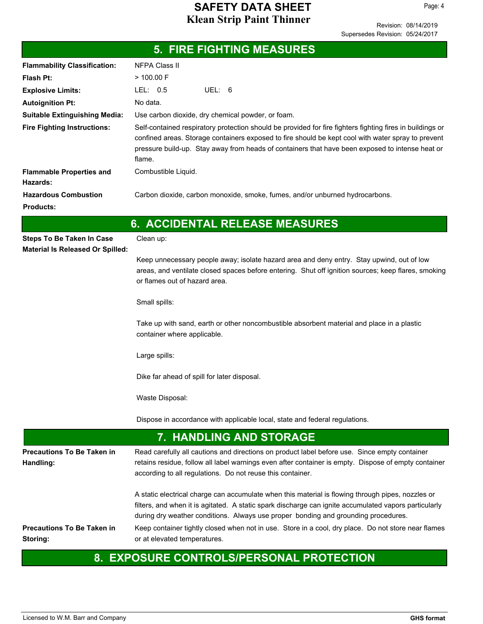Page: 4

|                                                 | <b>5. FIRE FIGHTING MEASURES</b>                                                                                                                                                                                                                                                                                                                                                                        |  |  |  |  |
|-------------------------------------------------|---------------------------------------------------------------------------------------------------------------------------------------------------------------------------------------------------------------------------------------------------------------------------------------------------------------------------------------------------------------------------------------------------------|--|--|--|--|
| <b>Flammability Classification:</b>             | <b>NFPA Class II</b>                                                                                                                                                                                                                                                                                                                                                                                    |  |  |  |  |
| <b>Flash Pt:</b>                                | $>$ 100.00 F                                                                                                                                                                                                                                                                                                                                                                                            |  |  |  |  |
| <b>Explosive Limits:</b>                        | LEL: 0.5<br>UEL: 6                                                                                                                                                                                                                                                                                                                                                                                      |  |  |  |  |
| <b>Autoignition Pt:</b>                         | No data.                                                                                                                                                                                                                                                                                                                                                                                                |  |  |  |  |
| <b>Suitable Extinguishing Media:</b>            | Use carbon dioxide, dry chemical powder, or foam.                                                                                                                                                                                                                                                                                                                                                       |  |  |  |  |
| <b>Fire Fighting Instructions:</b>              | Self-contained respiratory protection should be provided for fire fighters fighting fires in buildings or<br>confined areas. Storage containers exposed to fire should be kept cool with water spray to prevent<br>pressure build-up. Stay away from heads of containers that have been exposed to intense heat or<br>flame.                                                                            |  |  |  |  |
| <b>Flammable Properties and</b><br>Hazards:     | Combustible Liquid.                                                                                                                                                                                                                                                                                                                                                                                     |  |  |  |  |
| <b>Hazardous Combustion</b><br><b>Products:</b> | Carbon dioxide, carbon monoxide, smoke, fumes, and/or unburned hydrocarbons.                                                                                                                                                                                                                                                                                                                            |  |  |  |  |
|                                                 | <b>6. ACCIDENTAL RELEASE MEASURES</b>                                                                                                                                                                                                                                                                                                                                                                   |  |  |  |  |
| <b>Steps To Be Taken In Case</b>                | Clean up:                                                                                                                                                                                                                                                                                                                                                                                               |  |  |  |  |
| <b>Material Is Released Or Spilled:</b>         |                                                                                                                                                                                                                                                                                                                                                                                                         |  |  |  |  |
|                                                 | Keep unnecessary people away; isolate hazard area and deny entry. Stay upwind, out of low<br>areas, and ventilate closed spaces before entering. Shut off ignition sources; keep flares, smoking<br>or flames out of hazard area.                                                                                                                                                                       |  |  |  |  |
|                                                 | Small spills:                                                                                                                                                                                                                                                                                                                                                                                           |  |  |  |  |
|                                                 | Take up with sand, earth or other noncombustible absorbent material and place in a plastic<br>container where applicable.                                                                                                                                                                                                                                                                               |  |  |  |  |
|                                                 | Large spills:                                                                                                                                                                                                                                                                                                                                                                                           |  |  |  |  |
|                                                 | Dike far ahead of spill for later disposal.                                                                                                                                                                                                                                                                                                                                                             |  |  |  |  |
|                                                 | Waste Disposal:                                                                                                                                                                                                                                                                                                                                                                                         |  |  |  |  |
|                                                 | Dispose in accordance with applicable local, state and federal regulations.                                                                                                                                                                                                                                                                                                                             |  |  |  |  |
|                                                 | <b>7. HANDLING AND STORAGE</b>                                                                                                                                                                                                                                                                                                                                                                          |  |  |  |  |
| <b>Precautions To Be Taken in</b><br>Handling:  | Read carefully all cautions and directions on product label before use. Since empty container<br>retains residue, follow all label warnings even after container is empty. Dispose of empty container<br>according to all regulations. Do not reuse this container.                                                                                                                                     |  |  |  |  |
| <b>Precautions To Be Taken in</b>               | A static electrical charge can accumulate when this material is flowing through pipes, nozzles or<br>filters, and when it is agitated. A static spark discharge can ignite accumulated vapors particularly<br>during dry weather conditions. Always use proper bonding and grounding procedures.<br>Keep container tightly closed when not in use. Store in a cool, dry place. Do not store near flames |  |  |  |  |
| Storing:                                        | or at elevated temperatures.                                                                                                                                                                                                                                                                                                                                                                            |  |  |  |  |

# **8. EXPOSURE CONTROLS/PERSONAL PROTECTION**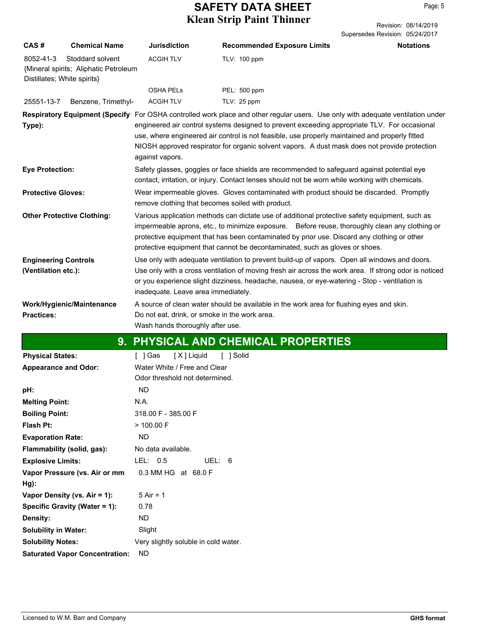Revision: 08/14/2019 Supersedes Revision: 05/24/2017

| CAS#                                     | <b>Chemical Name</b>                                      | <b>Jurisdiction</b>                                                               | <b>Recommended Exposure Limits</b>                                                                                                                                                                                                                                                                                                                                                                                                 | <b>Notations</b> |
|------------------------------------------|-----------------------------------------------------------|-----------------------------------------------------------------------------------|------------------------------------------------------------------------------------------------------------------------------------------------------------------------------------------------------------------------------------------------------------------------------------------------------------------------------------------------------------------------------------------------------------------------------------|------------------|
| 8052-41-3<br>Distillates; White spirits} | Stoddard solvent<br>{Mineral spirits; Aliphatic Petroleum | <b>ACGIH TLV</b>                                                                  | TLV: 100 ppm                                                                                                                                                                                                                                                                                                                                                                                                                       |                  |
|                                          |                                                           | <b>OSHA PELS</b>                                                                  | PEL: 500 ppm                                                                                                                                                                                                                                                                                                                                                                                                                       |                  |
| 25551-13-7                               | Benzene, Trimethyl-                                       | <b>ACGIH TLV</b>                                                                  | TLV: 25 ppm                                                                                                                                                                                                                                                                                                                                                                                                                        |                  |
| Type):                                   |                                                           | against vapors.                                                                   | Respiratory Equipment (Specify For OSHA controlled work place and other regular users. Use only with adequate ventilation under<br>engineered air control systems designed to prevent exceeding appropriate TLV. For occasional<br>use, where engineered air control is not feasible, use properly maintained and properly fitted<br>NIOSH approved respirator for organic solvent vapors. A dust mask does not provide protection |                  |
| <b>Eye Protection:</b>                   |                                                           |                                                                                   | Safety glasses, goggles or face shields are recommended to safeguard against potential eye<br>contact, irritation, or injury. Contact lenses should not be worn while working with chemicals.                                                                                                                                                                                                                                      |                  |
| <b>Protective Gloves:</b>                |                                                           | remove clothing that becomes soiled with product.                                 | Wear impermeable gloves. Gloves contaminated with product should be discarded. Promptly                                                                                                                                                                                                                                                                                                                                            |                  |
|                                          | <b>Other Protective Clothing:</b>                         |                                                                                   | Various application methods can dictate use of additional protective safety equipment, such as<br>impermeable aprons, etc., to minimize exposure. Before reuse, thoroughly clean any clothing or<br>protective equipment that has been contaminated by prior use. Discard any clothing or other<br>protective equipment that cannot be decontaminated, such as gloves or shoes.                                                    |                  |
| <b>Engineering Controls</b>              |                                                           |                                                                                   | Use only with adequate ventilation to prevent build-up of vapors. Open all windows and doors.                                                                                                                                                                                                                                                                                                                                      |                  |
| (Ventilation etc.):                      |                                                           | inadequate. Leave area immediately.                                               | Use only with a cross ventilation of moving fresh air across the work area. If strong odor is noticed<br>or you experience slight dizziness, headache, nausea, or eye-watering - Stop - ventilation is                                                                                                                                                                                                                             |                  |
|                                          | Work/Hygienic/Maintenance                                 |                                                                                   | A source of clean water should be available in the work area for flushing eyes and skin.                                                                                                                                                                                                                                                                                                                                           |                  |
| <b>Practices:</b>                        |                                                           | Do not eat, drink, or smoke in the work area.<br>Wash hands thoroughly after use. |                                                                                                                                                                                                                                                                                                                                                                                                                                    |                  |
|                                          |                                                           |                                                                                   |                                                                                                                                                                                                                                                                                                                                                                                                                                    |                  |
|                                          |                                                           |                                                                                   | 9. PHYSICAL AND CHEMICAL PROPERTIES                                                                                                                                                                                                                                                                                                                                                                                                |                  |
| <b>Physical States:</b>                  |                                                           | [X] Liquid<br>[ ] Gas                                                             | [ ] Solid                                                                                                                                                                                                                                                                                                                                                                                                                          |                  |
| <b>Appearance and Odor:</b>              |                                                           | Water White / Free and Clear<br>Odor threshold not determined.                    |                                                                                                                                                                                                                                                                                                                                                                                                                                    |                  |
| pH:                                      |                                                           | ND                                                                                |                                                                                                                                                                                                                                                                                                                                                                                                                                    |                  |
| <b>Melting Point:</b>                    |                                                           | N.A.                                                                              |                                                                                                                                                                                                                                                                                                                                                                                                                                    |                  |
| <b>Boiling Point:</b>                    |                                                           | 318.00 F - 385.00 F                                                               |                                                                                                                                                                                                                                                                                                                                                                                                                                    |                  |
| Flash Pt:                                |                                                           | $>$ 100.00 F                                                                      |                                                                                                                                                                                                                                                                                                                                                                                                                                    |                  |
| <b>Evaporation Rate:</b>                 |                                                           | <b>ND</b>                                                                         |                                                                                                                                                                                                                                                                                                                                                                                                                                    |                  |
|                                          | Flammability (solid, gas):                                | No data available.                                                                |                                                                                                                                                                                                                                                                                                                                                                                                                                    |                  |
| <b>Explosive Limits:</b>                 |                                                           | LEL: 0.5<br>UEL: 6                                                                |                                                                                                                                                                                                                                                                                                                                                                                                                                    |                  |
|                                          | Vapor Pressure (vs. Air or mm                             | 0.3 MM HG at 68.0 F                                                               |                                                                                                                                                                                                                                                                                                                                                                                                                                    |                  |
| Hg):                                     |                                                           |                                                                                   |                                                                                                                                                                                                                                                                                                                                                                                                                                    |                  |
|                                          | Vapor Density (vs. Air = 1):                              | $5$ Air = 1                                                                       |                                                                                                                                                                                                                                                                                                                                                                                                                                    |                  |
|                                          | Specific Gravity (Water = 1):                             | 0.78                                                                              |                                                                                                                                                                                                                                                                                                                                                                                                                                    |                  |
| Density:                                 |                                                           | <b>ND</b>                                                                         |                                                                                                                                                                                                                                                                                                                                                                                                                                    |                  |
| <b>Solubility in Water:</b>              |                                                           | Slight                                                                            |                                                                                                                                                                                                                                                                                                                                                                                                                                    |                  |
| <b>Solubility Notes:</b>                 |                                                           | Very slightly soluble in cold water.                                              |                                                                                                                                                                                                                                                                                                                                                                                                                                    |                  |
|                                          | <b>Saturated Vapor Concentration:</b>                     | <b>ND</b>                                                                         |                                                                                                                                                                                                                                                                                                                                                                                                                                    |                  |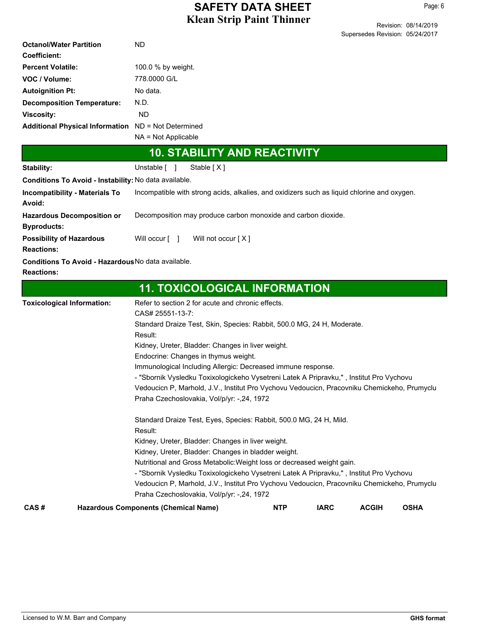|                                                       | Supersedes Revision: 05/24/2017                                                             |  |  |  |  |
|-------------------------------------------------------|---------------------------------------------------------------------------------------------|--|--|--|--|
| <b>Octanol/Water Partition</b>                        | ND                                                                                          |  |  |  |  |
| <b>Coefficient:</b>                                   |                                                                                             |  |  |  |  |
| <b>Percent Volatile:</b>                              | 100.0 % by weight.                                                                          |  |  |  |  |
| VOC / Volume:                                         | 778,0000 G/L                                                                                |  |  |  |  |
| <b>Autoignition Pt:</b>                               | No data.                                                                                    |  |  |  |  |
| <b>Decomposition Temperature:</b>                     | N.D.                                                                                        |  |  |  |  |
| <b>Viscosity:</b>                                     | <b>ND</b>                                                                                   |  |  |  |  |
| Additional Physical Information ND = Not Determined   |                                                                                             |  |  |  |  |
|                                                       | NA = Not Applicable                                                                         |  |  |  |  |
|                                                       | <b>10. STABILITY AND REACTIVITY</b>                                                         |  |  |  |  |
| Stability:                                            | Unstable [ ]<br>Stable [X]                                                                  |  |  |  |  |
| Conditions To Avoid - Instability: No data available. |                                                                                             |  |  |  |  |
| <b>Incompatibility - Materials To</b>                 | Incompatible with strong acids, alkalies, and oxidizers such as liquid chlorine and oxygen. |  |  |  |  |
| Avoid:                                                |                                                                                             |  |  |  |  |
| <b>Hazardous Decomposition or</b>                     | Decomposition may produce carbon monoxide and carbon dioxide.                               |  |  |  |  |
| <b>Byproducts:</b>                                    |                                                                                             |  |  |  |  |
| <b>Possibility of Hazardous</b>                       | Will occur [ ]<br>Will not occur [X]                                                        |  |  |  |  |
| <b>Reactions:</b>                                     |                                                                                             |  |  |  |  |
| Conditions To Avoid - Hazardous No data available.    |                                                                                             |  |  |  |  |
| <b>Reactions:</b>                                     |                                                                                             |  |  |  |  |
|                                                       | <b>11. TOXICOLOGICAL INFORMATION</b>                                                        |  |  |  |  |
| <b>Toxicological Information:</b>                     | Refer to section 2 for acute and chronic effects.                                           |  |  |  |  |
|                                                       | CAS# 25551-13-7:                                                                            |  |  |  |  |
|                                                       | Standard Draize Test, Skin, Species: Rabbit, 500.0 MG, 24 H, Moderate.                      |  |  |  |  |
|                                                       | Result:                                                                                     |  |  |  |  |
|                                                       | Kidney, Ureter, Bladder: Changes in liver weight.                                           |  |  |  |  |
|                                                       | Endocrine: Changes in thymus weight.                                                        |  |  |  |  |
|                                                       | Immunological Including Allergic: Decreased immune response.                                |  |  |  |  |
|                                                       | - "Sbornik Vysledku Toxixologickeho Vysetreni Latek A Pripravku,", Institut Pro Vychovu     |  |  |  |  |
|                                                       | Vedoucicn P, Marhold, J.V., Institut Pro Vychovu Vedoucicn, Pracovniku Chemickeho, Prumyclu |  |  |  |  |
|                                                       | Praha Czechoslovakia, Vol/p/yr: -,24, 1972                                                  |  |  |  |  |
|                                                       | Standard Draize Test, Eyes, Species: Rabbit, 500.0 MG, 24 H, Mild.                          |  |  |  |  |
|                                                       | Result:                                                                                     |  |  |  |  |
|                                                       | Kidney, Ureter, Bladder: Changes in liver weight.                                           |  |  |  |  |
|                                                       | Kidney, Ureter, Bladder: Changes in bladder weight.                                         |  |  |  |  |
|                                                       | Nutritional and Gross Metabolic: Weight loss or decreased weight gain.                      |  |  |  |  |

- "Sbornik Vysledku Toxixologickeho Vysetreni Latek A Pripravku," , Institut Pro Vychovu

Vedoucicn P, Marhold, J.V., Institut Pro Vychovu Vedoucicn, Pracovniku Chemickeho, Prumyclu Praha Czechoslovakia, Vol/p/yr: -,24, 1972

**CAS # Hazardous Components (Chemical Name) NTP IARC ACGIH OSHA**

Revision: 08/14/2019